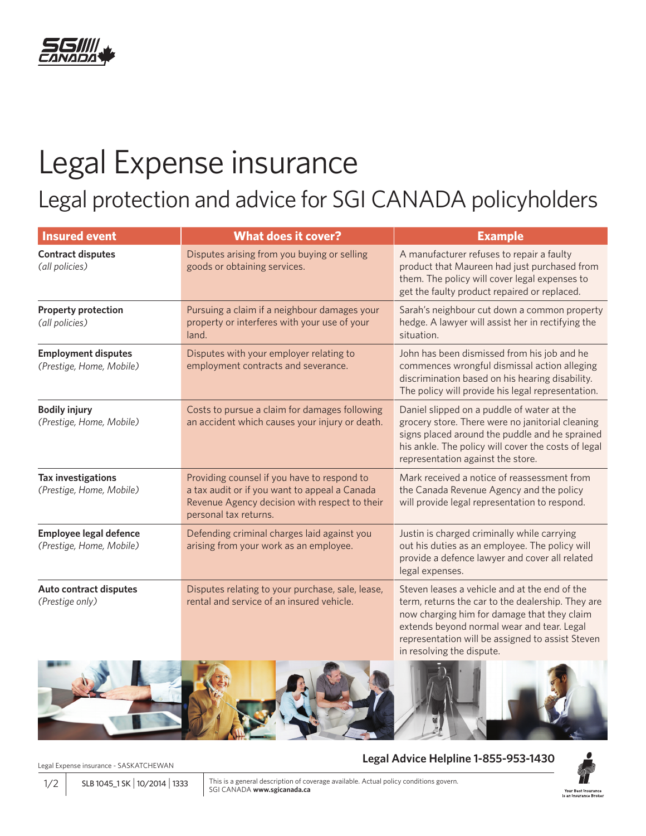

## Legal Expense insurance

Legal protection and advice for SGI CANADA policyholders

| <b>Insured event</b>                                   | <b>What does it cover?</b>                                                                                                                                             | <b>Example</b>                                                                                                                                                                                                                                                                   |  |
|--------------------------------------------------------|------------------------------------------------------------------------------------------------------------------------------------------------------------------------|----------------------------------------------------------------------------------------------------------------------------------------------------------------------------------------------------------------------------------------------------------------------------------|--|
| <b>Contract disputes</b><br>(all policies)             | Disputes arising from you buying or selling<br>goods or obtaining services.                                                                                            | A manufacturer refuses to repair a faulty<br>product that Maureen had just purchased from<br>them. The policy will cover legal expenses to<br>get the faulty product repaired or replaced.                                                                                       |  |
| <b>Property protection</b><br>(all policies)           | Pursuing a claim if a neighbour damages your<br>property or interferes with your use of your<br>land.                                                                  | Sarah's neighbour cut down a common property<br>hedge. A lawyer will assist her in rectifying the<br>situation.                                                                                                                                                                  |  |
| <b>Employment disputes</b><br>(Prestige, Home, Mobile) | Disputes with your employer relating to<br>employment contracts and severance.                                                                                         | John has been dismissed from his job and he<br>commences wrongful dismissal action alleging<br>discrimination based on his hearing disability.<br>The policy will provide his legal representation.                                                                              |  |
| <b>Bodily injury</b><br>(Prestige, Home, Mobile)       | Costs to pursue a claim for damages following<br>an accident which causes your injury or death.                                                                        | Daniel slipped on a puddle of water at the<br>grocery store. There were no janitorial cleaning<br>signs placed around the puddle and he sprained<br>his ankle. The policy will cover the costs of legal<br>representation against the store.                                     |  |
| <b>Tax investigations</b><br>(Prestige, Home, Mobile)  | Providing counsel if you have to respond to<br>a tax audit or if you want to appeal a Canada<br>Revenue Agency decision with respect to their<br>personal tax returns. | Mark received a notice of reassessment from<br>the Canada Revenue Agency and the policy<br>will provide legal representation to respond.                                                                                                                                         |  |
| Employee legal defence<br>(Prestige, Home, Mobile)     | Defending criminal charges laid against you<br>arising from your work as an employee.                                                                                  | Justin is charged criminally while carrying<br>out his duties as an employee. The policy will<br>provide a defence lawyer and cover all related<br>legal expenses.                                                                                                               |  |
| <b>Auto contract disputes</b><br>(Prestige only)       | Disputes relating to your purchase, sale, lease,<br>rental and service of an insured vehicle.                                                                          | Steven leases a vehicle and at the end of the<br>term, returns the car to the dealership. They are<br>now charging him for damage that they claim<br>extends beyond normal wear and tear. Legal<br>representation will be assigned to assist Steven<br>in resolving the dispute. |  |



Legal Expense insurance - SASKATCHEWAN

**Legal Advice Helpline 1-855-953-1430**